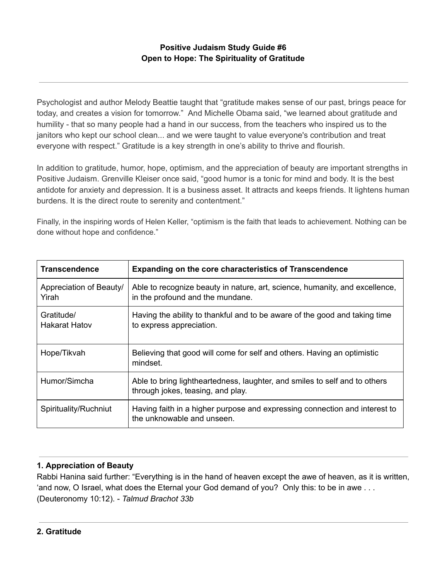# **Positive Judaism Study Guide #6 Open to Hope: The Spirituality of Gratitude**

Psychologist and author Melody Beattie taught that "gratitude makes sense of our past, brings peace for today, and creates a vision for tomorrow." And Michelle Obama said, "we learned about gratitude and humility - that so many people had a hand in our success, from the teachers who inspired us to the janitors who kept our school clean... and we were taught to value everyone's contribution and treat everyone with respect." Gratitude is a key strength in one's ability to thrive and flourish.

In addition to gratitude, humor, hope, optimism, and the appreciation of beauty are important strengths in Positive Judaism. Grenville Kleiser once said, "good humor is a tonic for mind and body. It is the best antidote for anxiety and depression. It is a business asset. It attracts and keeps friends. It lightens human burdens. It is the direct route to serenity and contentment."

Finally, in the inspiring words of Helen Keller, "optimism is the faith that leads to achievement. Nothing can be done without hope and confidence."

| <b>Transcendence</b>               | <b>Expanding on the core characteristics of Transcendence</b>                                                   |
|------------------------------------|-----------------------------------------------------------------------------------------------------------------|
| Appreciation of Beauty/<br>Yirah   | Able to recognize beauty in nature, art, science, humanity, and excellence,<br>in the profound and the mundane. |
| Gratitude/<br><b>Hakarat Hatov</b> | Having the ability to thankful and to be aware of the good and taking time<br>to express appreciation.          |
| Hope/Tikvah                        | Believing that good will come for self and others. Having an optimistic<br>mindset.                             |
| Humor/Simcha                       | Able to bring lightheartedness, laughter, and smiles to self and to others<br>through jokes, teasing, and play. |
| Spirituality/Ruchniut              | Having faith in a higher purpose and expressing connection and interest to<br>the unknowable and unseen.        |

## **1. Appreciation of Beauty**

Rabbi Hanina said further: "Everything is in the hand of heaven except the awe of heaven, as it is written, 'and now, O Israel, what does the Eternal your God demand of you? Only this: to be in awe . . . (Deuteronomy 10:12). - *Talmud Brachot 33b*